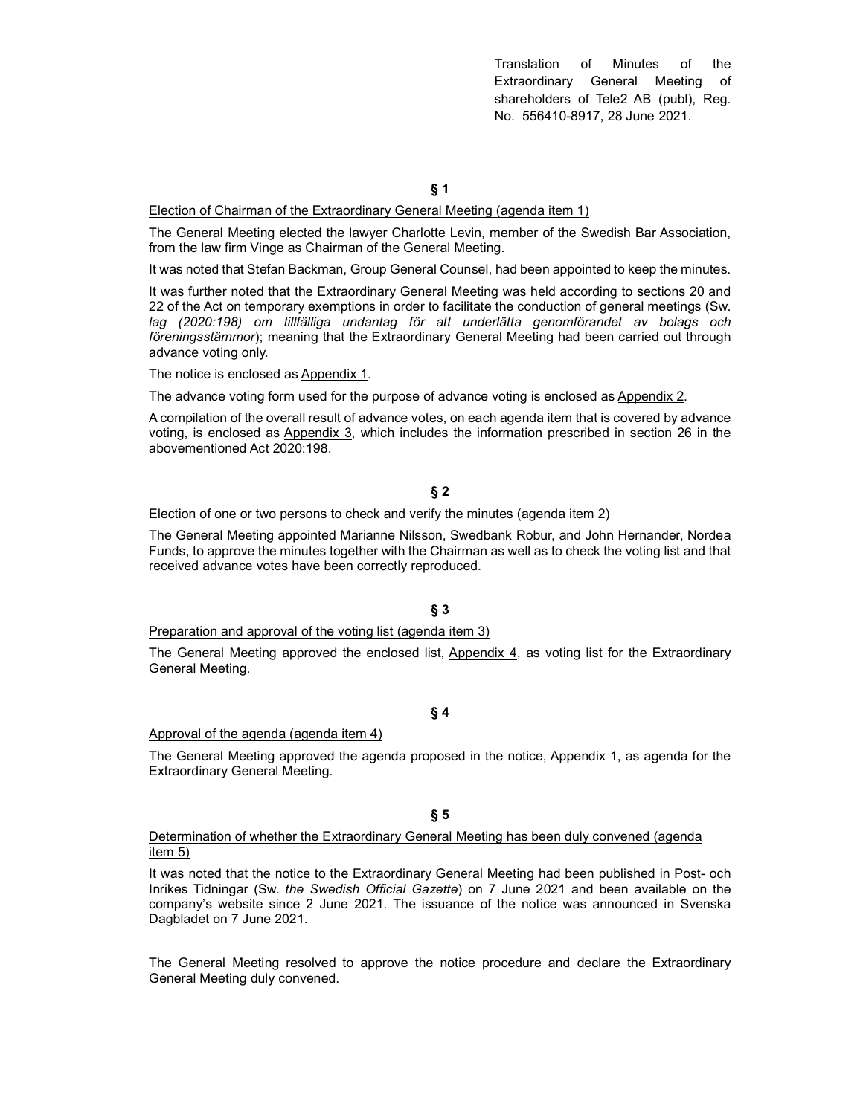Translation of Minutes of the Extraordinary General Meeting of shareholders of Tele2 AB (publ), Reg. No. 556410-8917, 28 June 2021.

§ 1

### Election of Chairman of the Extraordinary General Meeting (agenda item 1)

The General Meeting elected the lawyer Charlotte Levin, member of the Swedish Bar Association, from the law firm Vinge as Chairman of the General Meeting.

It was noted that Stefan Backman, Group General Counsel, had been appointed to keep the minutes.

It was further noted that the Extraordinary General Meeting was held according to sections 20 and 22 of the Act on temporary exemptions in order to facilitate the conduction of general meetings (Sw. lag (2020:198) om tillfälliga undantag för att underlätta genomförandet av bolags och föreningsstämmor); meaning that the Extraordinary General Meeting had been carried out through advance voting only.

The notice is enclosed as Appendix 1.

The advance voting form used for the purpose of advance voting is enclosed as Appendix 2.

A compilation of the overall result of advance votes, on each agenda item that is covered by advance voting, is enclosed as Appendix 3, which includes the information prescribed in section 26 in the abovementioned Act 2020:198.

# § 2

#### Election of one or two persons to check and verify the minutes (agenda item 2)

The General Meeting appointed Marianne Nilsson, Swedbank Robur, and John Hernander, Nordea Funds, to approve the minutes together with the Chairman as well as to check the voting list and that received advance votes have been correctly reproduced.

§ 3

Preparation and approval of the voting list (agenda item 3)

The General Meeting approved the enclosed list, Appendix 4, as voting list for the Extraordinary General Meeting.

### § 4

### Approval of the agenda (agenda item 4)

The General Meeting approved the agenda proposed in the notice, Appendix 1, as agenda for the Extraordinary General Meeting.

## § 5

## Determination of whether the Extraordinary General Meeting has been duly convened (agenda item 5)

It was noted that the notice to the Extraordinary General Meeting had been published in Post- och Inrikes Tidningar (Sw. the Swedish Official Gazette) on 7 June 2021 and been available on the company's website since 2 June 2021. The issuance of the notice was announced in Svenska Dagbladet on 7 June 2021.

The General Meeting resolved to approve the notice procedure and declare the Extraordinary General Meeting duly convened.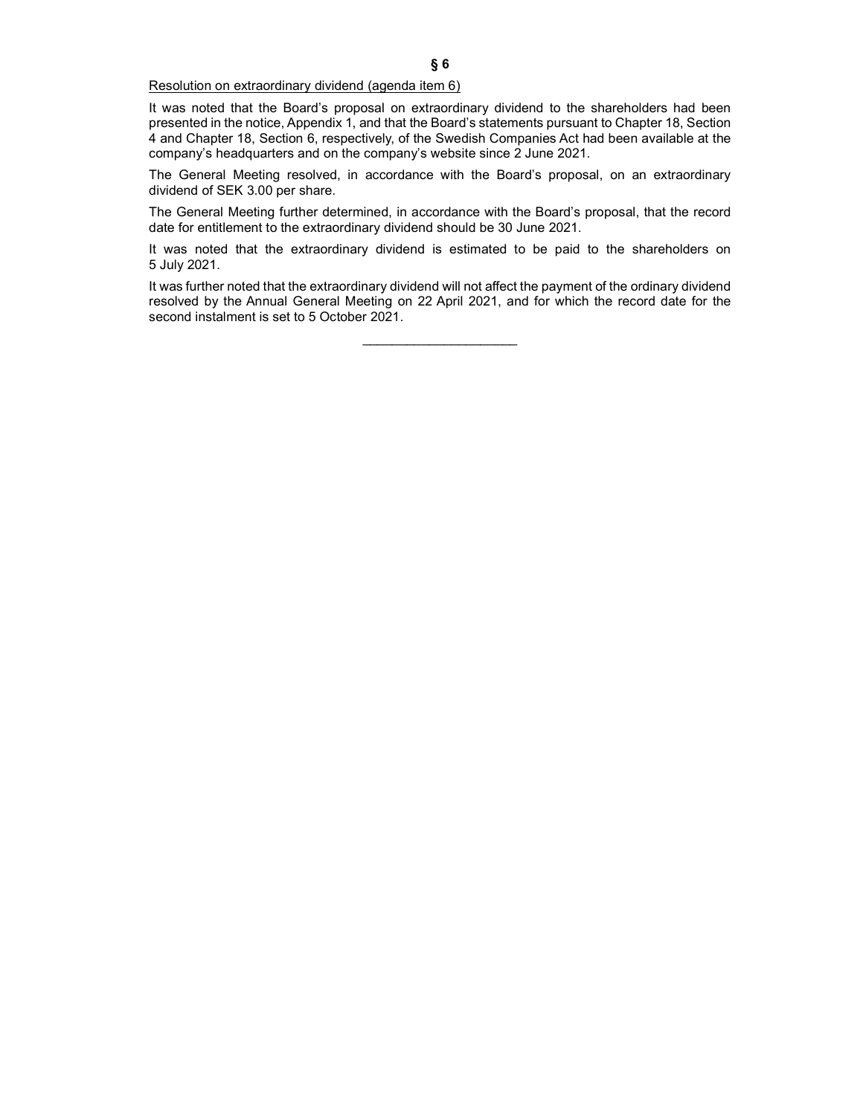## Resolution on extraordinary dividend (agenda item 6)

It was noted that the Board's proposal on extraordinary dividend to the shareholders had been presented in the notice, Appendix 1, and that the Board's statements pursuant to Chapter 18, Section 4 and Chapter 18, Section 6, respectively, of the Swedish Companies Act had been available at the company's headquarters and on the company's website since 2 June 2021.

The General Meeting resolved, in accordance with the Board's proposal, on an extraordinary dividend of SEK 3.00 per share.

The General Meeting further determined, in accordance with the Board's proposal, that the record date for entitlement to the extraordinary dividend should be 30 June 2021.

It was noted that the extraordinary dividend is estimated to be paid to the shareholders on 5 July 2021.

It was further noted that the extraordinary dividend will not affect the payment of the ordinary dividend resolved by the Annual General Meeting on 22 April 2021, and for which the record date for the second instalment is set to 5 October 2021.

 $\overline{\phantom{a}}$  , where  $\overline{\phantom{a}}$  , where  $\overline{\phantom{a}}$  , where  $\overline{\phantom{a}}$